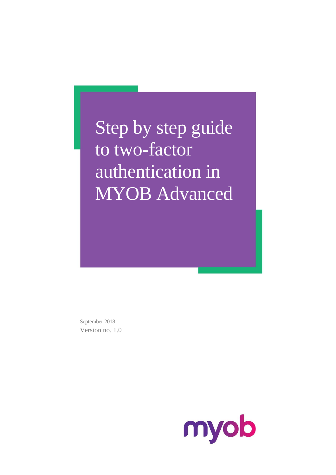Step by step guide to two-factor authentication in **MYOB** Advanced

September 2018 Version no. 1.0

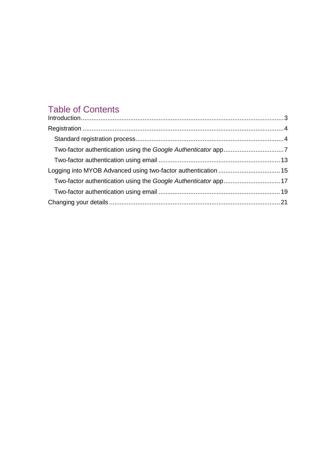### Table of Contents

| Introduction 3 |  |
|----------------|--|
|                |  |
|                |  |
|                |  |
|                |  |
|                |  |
|                |  |
|                |  |
|                |  |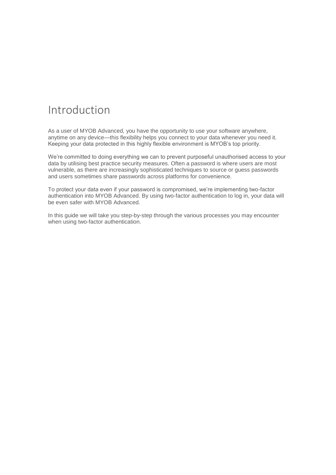## <span id="page-2-0"></span>Introduction

As a user of MYOB Advanced, you have the opportunity to use your software anywhere, anytime on any device—this flexibility helps you connect to your data whenever you need it. Keeping your data protected in this highly flexible environment is MYOB's top priority.

We're committed to doing everything we can to prevent purposeful unauthorised access to your data by utilising best practice security measures. Often a password is where users are most vulnerable, as there are increasingly sophisticated techniques to source or guess passwords and users sometimes share passwords across platforms for convenience.

To protect your data even if your password is compromised, we're implementing two-factor authentication into MYOB Advanced. By using two-factor authentication to log in, your data will be even safer with MYOB Advanced.

In this guide we will take you step-by-step through the various processes you may encounter when using two-factor authentication.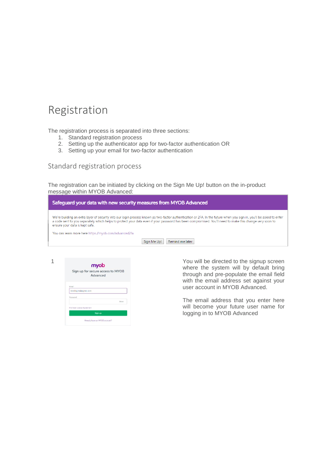### <span id="page-3-0"></span>Registration

The registration process is separated into three sections:

- 1. Standard registration process
- 2. Setting up the authenticator app for two-factor authentication OR
- 3. Setting up your email for two-factor authentication

<span id="page-3-1"></span>Standard registration process

The registration can be initiated by clicking on the Sign Me Up! button on the in-product message within MYOB Advanced:

| Safeguard your data with new security measures from MYOB Advanced                                                                                                                                                                                                                                                                                                 |  |  |
|-------------------------------------------------------------------------------------------------------------------------------------------------------------------------------------------------------------------------------------------------------------------------------------------------------------------------------------------------------------------|--|--|
| We're building an extra layer of security into our login process known as two-factor authentication or 2FA. In the future when you sign in, you'll be asked to enter<br>a code sent to you separately which helps to protect your data even if your password has been compromised. You'll need to make this change very soon to<br>ensure your data is kept safe. |  |  |
| You can learn more here https://myob.com/advanced2fa                                                                                                                                                                                                                                                                                                              |  |  |
| Remind me later<br>Sign Me Up!                                                                                                                                                                                                                                                                                                                                    |  |  |
|                                                                                                                                                                                                                                                                                                                                                                   |  |  |



1 1 **myob have a structure of the signup screen**  $\mathbf{y}_0$  will be directed to the signup screen where the system will by default bring through and pre-populate the email field with the email address set against your user account in MYOB Advanced.

> The email address that you enter here will become your future user name for logging in to MYOB Advanced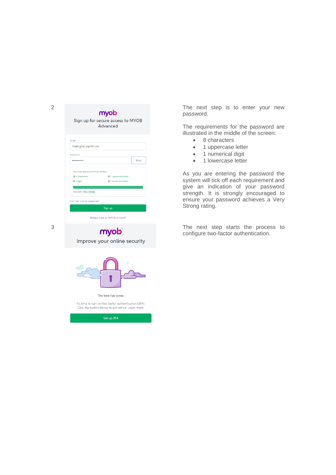

Improve your online security



The time has come.

It's time to turn on two factor authentication (2FA). Click the button below to get set up. Learn more.

password.

The requirements for the password are illustrated in the middle of the screen:

- 8 characters
- 1 uppercase letter
- 1 numerical digit
- 1 lowercase letter

As you are entering the password the system will tick off each requirement and give an indication of your password strength. It is strongly encouraged to ensure your password achieves a Very Strong rating.

3 **CONCORREGATE:** The next step starts the process to configure two-factor authentication configur e two -factor authentication.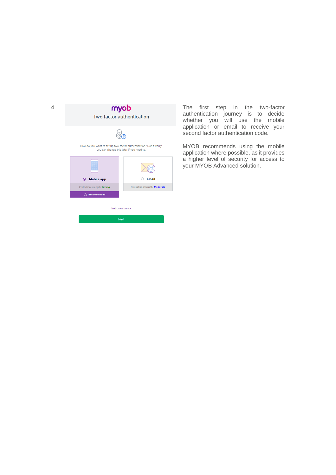| 4 | myob<br>Two factor authentication                                                                              |                               | The first step in the two-factor<br>authentication journey is to decide<br>whether you will use the mobile                                                 |
|---|----------------------------------------------------------------------------------------------------------------|-------------------------------|------------------------------------------------------------------------------------------------------------------------------------------------------------|
|   |                                                                                                                |                               | application or email to receive your<br>second factor authentication code.                                                                                 |
|   | How do you want to set up two-factor authentication? Don't worry,<br>you can change this later if you need to. |                               | MYOB recommends using the mobile<br>application where possible, as it provides<br>a higher level of security for access to<br>your MYOB Advanced solution. |
|   | Mobile app                                                                                                     | Email                         |                                                                                                                                                            |
|   | Protection strength: Strong                                                                                    | Protection strength: Moderate |                                                                                                                                                            |
|   | Recommended                                                                                                    |                               |                                                                                                                                                            |
|   | Help me choose                                                                                                 |                               |                                                                                                                                                            |
|   | <b>Next</b>                                                                                                    |                               |                                                                                                                                                            |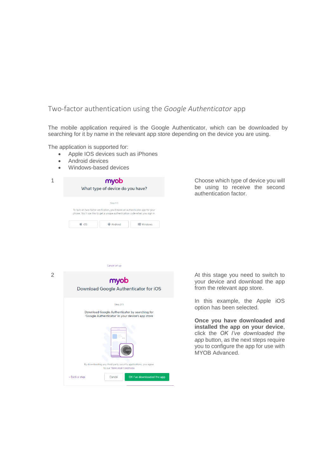#### <span id="page-6-0"></span>Two-factor authentication using the *Google Authenticator* app

The mobile application required is the Google Authenticator, which can be downloaded by searching for it by name in the relevant app store depending on the device you are using.

The application is supported for:

- Apple IOS devices such as iPhones
- Android devices
- Windows-based devices

| myob<br>What type of device do you have?                                                                                                                                                                                      |  |
|-------------------------------------------------------------------------------------------------------------------------------------------------------------------------------------------------------------------------------|--|
| Step 1/3<br>To turn on two-factor verification, you'll need an authenticator app for your<br>phone. You'll use this to get a unique authentication code when you sign in.<br>$\triangle$ iOS<br><b>III</b> Windows<br>Android |  |

Choose which type of device you will be using to receive the second authentication factor.

2 At this stage you need to switch to<br> **COVID A** At this stage you need to switch to<br> **COVID A** Your device and download the app Download Google Authenticator for iOS Step 2/3 Download Google Authenticator by searching for 'Google Authenticator' in your device's app store rd party security applications, you agree to our Terms and Conditions « Back a step  $\ensuremath{\mathsf{Cancel}}$ 

Cancel set up

your device and download the app from the relevant app store.

In this example, the Apple iOS option has been selected.

**Once you have downloaded and installed the app on your device**, click the *OK I've downloaded the app* button, as the next steps require you to configure the app for use with MYOB Advanced.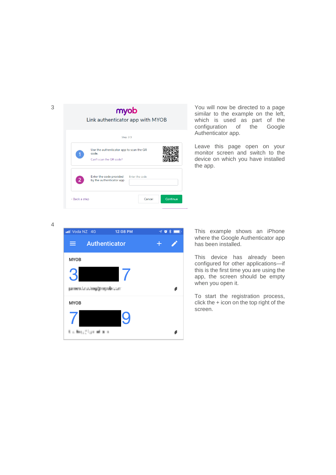

similar to the example on the left, which is used as part of the<br>configuration of the Google of the Google Authenticator app .

Leave this page open on your monitor screen and switch to the device on which you have installed the app.

4



This example shows an iPhone where the Google Authenticator app has been installed.

This device has already been configured for other applications —if this is the first time you are using the app, the screen should be empty when you open it.

To start the registration process, click the + icon on the top right of the screen.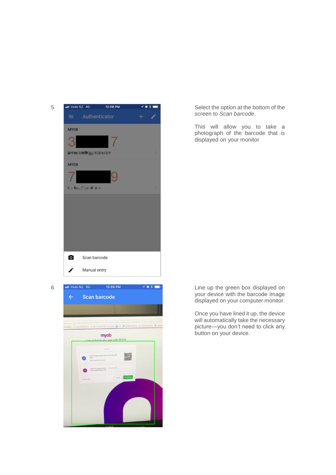



screen to *Scan barcode*.

This will allow you to take a photograph of the barcode that is displayed on your monitor

your device with the barcode image displayed on your computer monitor.

Once you have lined it up, the device will automatically take the necessary picture—you don't need to click any button on your device.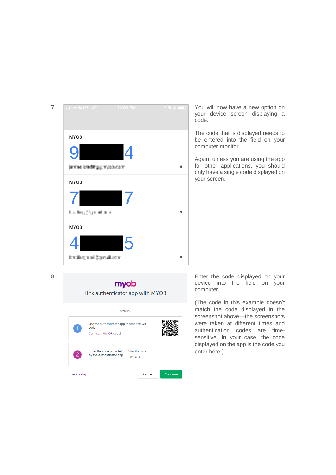

your device screen displaying a code.

The code that is displayed needs to be entered into the field on you r computer monitor.

Again, unless you are using the app for other applications, you should only have a single code displayed on your screen.

#### myob Link authenticator app with MYOB

|                | Step 3/3                                                                     |                          |
|----------------|------------------------------------------------------------------------------|--------------------------|
| 1              | Use the authenticator app to scan the QR<br>code.<br>Can't scan the QR code? |                          |
| $\overline{2}$ | Enter the code provided<br>by the authenticator app                          | Enter the code<br>845658 |
| « Back a step  |                                                                              | Continue<br>Cancel       |

8 Enter the code displayed on your device into the field on your computer.

> (The code in this example doesn't match the code displayed in the screenshot above —the screenshots were taken at different times and authentication codes are time sensitive. In your case, the code displayed on the app is the code you enter here.)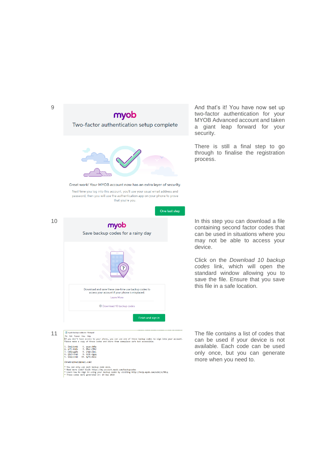

two -factor authentication for your MYOB Advanced account and taken a giant leap forward for your security.

There is still a final step to go through to finalise the registration process.

containing second factor codes that can be used in situations where you may not be able to access your device.

Click on the *Download 10 backup codes* link, which will open the standard window allowing you to save the file. Ensure that you save this file in a safe location.

can be used if your device is not available. Each code can be used only once, but you can generate more when you need to.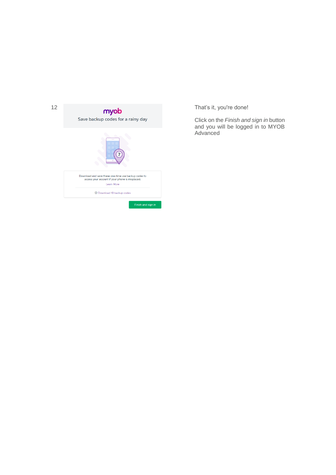

Click on the *Finish and sign in* button and you will be logged in to MYOB Advanced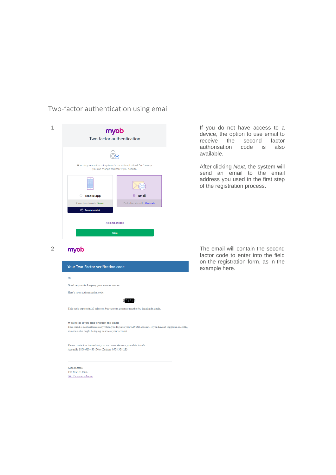### <span id="page-12-0"></span>Two-factor authentication using email

| myob<br>Two factor authentication                                                                              |                               |
|----------------------------------------------------------------------------------------------------------------|-------------------------------|
|                                                                                                                |                               |
| How do you want to set up two-factor authentication? Don't worry,<br>you can change this later if you need to. |                               |
|                                                                                                                |                               |
| <b>Mobile app</b>                                                                                              | Email<br>$\odot$              |
| Protection strength: Strong                                                                                    | Protection strength: Moderate |
| Recommended                                                                                                    |                               |
| <b>Help me choose</b>                                                                                          |                               |
| <b>Next</b>                                                                                                    |                               |

If you do not have access to a device, the option to use email to receive the second factor authorisation code is also available.

After clicking *Next*, the system will send an email to the email address you used in the first step of the registration process.



The MYOB team http://www.myob.com

2 **myob** The email will contain the second factor code to enter into the field on the registration form, as in the example here.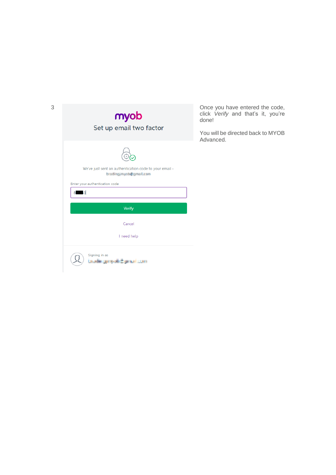| 3 | myob<br>Set up email two factor                                                                                                      | Once you have entered the code,<br>click Verify and that's it, you're<br>done!<br>You will be directed back to MYOB<br>Advanced. |
|---|--------------------------------------------------------------------------------------------------------------------------------------|----------------------------------------------------------------------------------------------------------------------------------|
|   | We've just sent an authentication code to your email -<br>brading mychologies Lean<br>Enter your authentication code<br><b>MAR</b> 3 |                                                                                                                                  |
|   | <b>Verify</b>                                                                                                                        |                                                                                                                                  |
|   | Cancel                                                                                                                               |                                                                                                                                  |
|   | I need help                                                                                                                          |                                                                                                                                  |
|   | Signing in as<br>public generalistics and com-                                                                                       |                                                                                                                                  |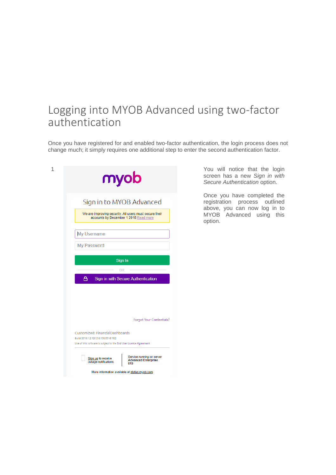## <span id="page-14-0"></span>Logging into MYOB Advanced using two-factor authentication

Once you have registered for and enabled two-factor authentication, the login process does not change much; it simply requires one additional step to enter the second authentication factor.

| 1<br>myob                                                                                                                                                                                                                           | You will notice that the login<br>screen has a new Sign in with<br>Secure Authentication option.                                       |
|-------------------------------------------------------------------------------------------------------------------------------------------------------------------------------------------------------------------------------------|----------------------------------------------------------------------------------------------------------------------------------------|
| Sign in to MYOB Advanced<br>We are improving security. All users must secure their<br>accounts by December 1 2018 Read more                                                                                                         | Once you have completed the<br>registration process outlined<br>above, you can now log in to<br>MYOB Advanced using<br>this<br>option. |
| My Username<br>My Password                                                                                                                                                                                                          |                                                                                                                                        |
| Sign In<br>OR<br>Α<br>Sign in with Secure Authentication                                                                                                                                                                            |                                                                                                                                        |
| Forgot Your Credentials?<br>Customized: FinancialDashboards<br>Build 2018.1.2.120 [18.108.0016.162]                                                                                                                                 |                                                                                                                                        |
| Use of this software is subject to the End User Licence Agreement<br>Service running on server<br>Sign up to receive<br><b>Advanced Enterprise</b><br>outage notifications.<br>019<br>More information available at status.myob.com |                                                                                                                                        |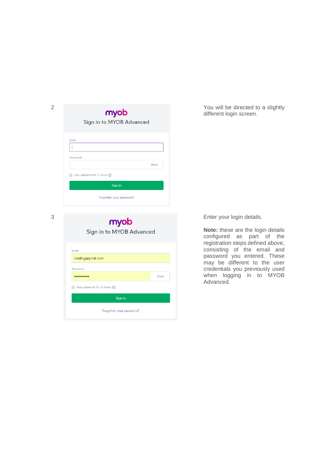| $\overline{2}$ | myob<br>Sign in to MYOB Advanced                     | You will be directed to a slightly<br>different login screen. |
|----------------|------------------------------------------------------|---------------------------------------------------------------|
|                | Email<br>Password<br>Show                            |                                                               |
|                | Stay signed in for 12 hours (i)<br>$\Box$<br>Sign in |                                                               |
|                | Forgotten your password?                             |                                                               |

| Sign in to MYOB Advanced        |  |  |
|---------------------------------|--|--|
| Email<br>beading with mail.com  |  |  |
| Password<br>Show                |  |  |
| Stay signed in for 12 hours (i) |  |  |
| Sign in                         |  |  |
| Forgotten your password?        |  |  |

3 Enter your login details.

**Note:** these are the login details configured as part of the registration steps defined above, consisting of the email and password you entered. These may be different to the user credentials you previously used when logging in to MYOB Advanced.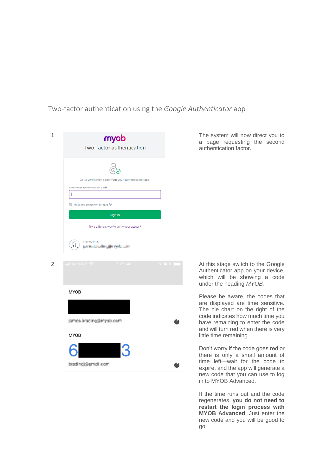<span id="page-16-0"></span>Two-factor authentication using the *Google Authenticator* app

| Two-factor authentication<br>Get a verification code from your authentication app.<br>Enter your authentication code<br>I<br>Trust this device for 30 days <sup>®</sup><br>Sign in<br>Try a different way to verify your account<br>Signing in as<br>permit brooking@exyed.com<br>$\overline{2}$<br>ill Voda NZ <mark>全</mark><br>7:27 AM<br>708<br><b>MYOB</b><br>james.brading@myob.com<br><b>MYOB</b><br>bradingj@gmail.com | 1 | myob |  |
|--------------------------------------------------------------------------------------------------------------------------------------------------------------------------------------------------------------------------------------------------------------------------------------------------------------------------------------------------------------------------------------------------------------------------------|---|------|--|
|                                                                                                                                                                                                                                                                                                                                                                                                                                |   |      |  |
|                                                                                                                                                                                                                                                                                                                                                                                                                                |   |      |  |
|                                                                                                                                                                                                                                                                                                                                                                                                                                |   |      |  |
|                                                                                                                                                                                                                                                                                                                                                                                                                                |   |      |  |
|                                                                                                                                                                                                                                                                                                                                                                                                                                |   |      |  |
|                                                                                                                                                                                                                                                                                                                                                                                                                                |   |      |  |
|                                                                                                                                                                                                                                                                                                                                                                                                                                |   |      |  |
|                                                                                                                                                                                                                                                                                                                                                                                                                                |   |      |  |
|                                                                                                                                                                                                                                                                                                                                                                                                                                |   |      |  |
|                                                                                                                                                                                                                                                                                                                                                                                                                                |   |      |  |
|                                                                                                                                                                                                                                                                                                                                                                                                                                |   |      |  |
|                                                                                                                                                                                                                                                                                                                                                                                                                                |   |      |  |
|                                                                                                                                                                                                                                                                                                                                                                                                                                |   |      |  |
|                                                                                                                                                                                                                                                                                                                                                                                                                                |   |      |  |
|                                                                                                                                                                                                                                                                                                                                                                                                                                |   |      |  |
|                                                                                                                                                                                                                                                                                                                                                                                                                                |   |      |  |
|                                                                                                                                                                                                                                                                                                                                                                                                                                |   |      |  |

The system will now direct you to a page requesting the second authentication factor.

At this stage switch to the Google Authenticator app on your device, which will be showing a code under the heading *MYOB.*

Please be aware, the codes that are displayed are time sensitive. The pie chart on the right of the code indicates how much time you have remaining to enter the code and will turn red when there is very little time remaining.

Don't worry if the code goes red or there is only a small amount of time left—wait for the code to expire, and the app will generate a new code that you can use to log in to MYOB Advanced.

If the time runs out and the code regenerates, **you do not need to restart the login process with MYOB Advanced**. Just enter the new code and you will be good to go.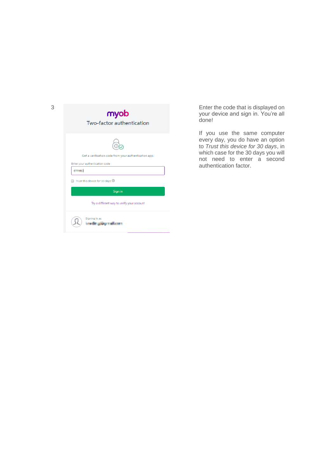| 3 | myob<br>Two-factor authentication                                                                                                     | Enter the code that is displayed on<br>your device and sign in. You're all<br>done!                                                                                                                     |
|---|---------------------------------------------------------------------------------------------------------------------------------------|---------------------------------------------------------------------------------------------------------------------------------------------------------------------------------------------------------|
|   | Get a verification code from your authentication app.<br>Enter your authentication code<br>$6 - 3$<br>Trust this device for 30 days 2 | If you use the same computer<br>every day, you do have an option<br>to Trust this device for 30 days, in<br>which case for the 30 days you will<br>not need to enter a second<br>authentication factor. |
|   | Sign in<br>Try a different way to verify your account<br>Signing in as                                                                |                                                                                                                                                                                                         |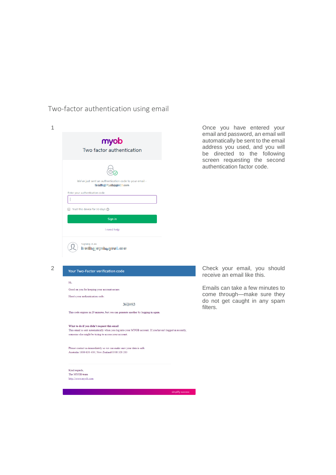<span id="page-18-0"></span>Two-factor authentication using email

| 1 | myob<br>Two factor authentication                                                                                                                                                                               | Once you have entered your<br>email and password, an email will<br>automatically be sent to the email<br>address you used, and you will<br>be directed to the following<br>screen requesting the second<br>authentication factor code. |
|---|-----------------------------------------------------------------------------------------------------------------------------------------------------------------------------------------------------------------|----------------------------------------------------------------------------------------------------------------------------------------------------------------------------------------------------------------------------------------|
|   | We've just sent an authentication code to your email -<br>in adia di palauge de com-<br>Enter your authentication code                                                                                          |                                                                                                                                                                                                                                        |
|   | Trust this device for 30 days (i)                                                                                                                                                                               |                                                                                                                                                                                                                                        |
|   | Sign in                                                                                                                                                                                                         |                                                                                                                                                                                                                                        |
|   | I need help                                                                                                                                                                                                     |                                                                                                                                                                                                                                        |
| 2 | Signing in as<br>Intelligencycloperations                                                                                                                                                                       | Check your email, you should                                                                                                                                                                                                           |
|   | Your Two-Factor verification code                                                                                                                                                                               | receive an email like this.                                                                                                                                                                                                            |
|   |                                                                                                                                                                                                                 |                                                                                                                                                                                                                                        |
|   | Hi,<br>Good on you for keeping your account secure.<br>Here's your authentication code:<br>$3 + 3 + 3$                                                                                                          | Emails can take a few minutes to<br>come through-make sure they<br>do not get caught in any spam                                                                                                                                       |
|   | This code expires in 20 minutes, but you can generate another by logging in again.                                                                                                                              | filters.                                                                                                                                                                                                                               |
|   | What to do if you didn't request this email<br>This email is sent automatically when you log into your MYOB account. If you haven't logged in recently,<br>someone else might be trying to access your account. |                                                                                                                                                                                                                                        |
|   | Please contact us immediately so we can make sure your data is safe.<br>Australia 1800 620 430   New Zealand 0508 328 283                                                                                       |                                                                                                                                                                                                                                        |
|   | Kind regards,<br>The MYOB team<br>http://www.myob.com                                                                                                                                                           |                                                                                                                                                                                                                                        |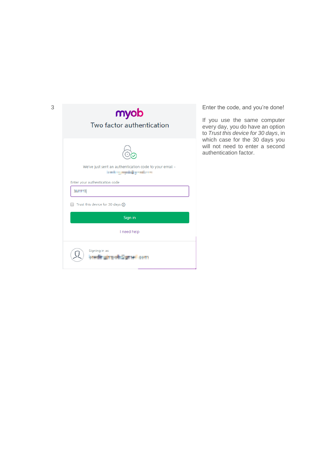| 3 | myob<br>Two factor authentication                                                                                                                                             | Enter the code, and you're done!<br>If you use the same computer<br>every day, you do have an option<br>to Trust this device for 30 days, in<br>which case for the 30 days you<br>will not need to enter a second<br>authentication factor. |
|---|-------------------------------------------------------------------------------------------------------------------------------------------------------------------------------|---------------------------------------------------------------------------------------------------------------------------------------------------------------------------------------------------------------------------------------------|
|   | We've just sent an authentication code to your email -<br>in with a gregoritality medium or<br>Enter your authentication code<br>$3 - 3$<br>Trust this device for 30 days (i) |                                                                                                                                                                                                                                             |
|   | Sign in<br>I need help                                                                                                                                                        |                                                                                                                                                                                                                                             |
|   | Signing in as<br>confirming which provides to                                                                                                                                 |                                                                                                                                                                                                                                             |